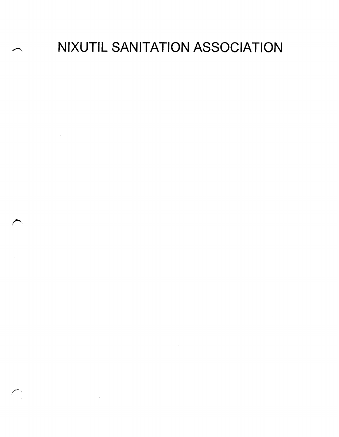NIXUTIL SANITATION ASSOCIATION

 $\sim 10$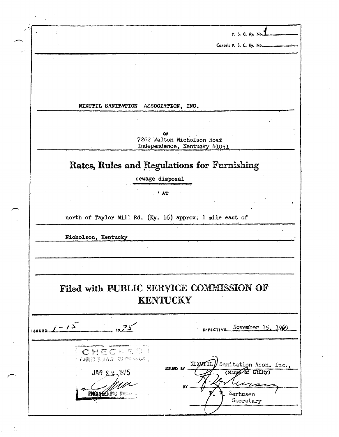P. S. C.  $Ky$ . No. Cancels P. S. C. Ky. Nommer NIXUTIL SANITATION ASSOCIATION, INC. 7262 Walton Nicholson Road Independence, Kentucky 41051 Rates, Rules and Regulations for Furnishing sewage disposal  $\mathbf{A}$ north of Taylor Mill Rd. (Ky. 16) approx. 1 mile east of Nicholson, Kentucky Filed with PUBLIC SERVICE COMMISSION OF **KENTUCKY**  $1$  issued  $1 - 15$  $-$  10.75 November 15, 1969 EFFECTIVE. CHECKED PUBLIC SERVICE COMPRISON Sanitation Assn. Inc., NT X **ISSUED BY** (Name of Utility) JAN  $2, 2, 1975$ BY ENGINEERING DIVISION  $z_{\small \textbf{erhusen}}$ Secretary